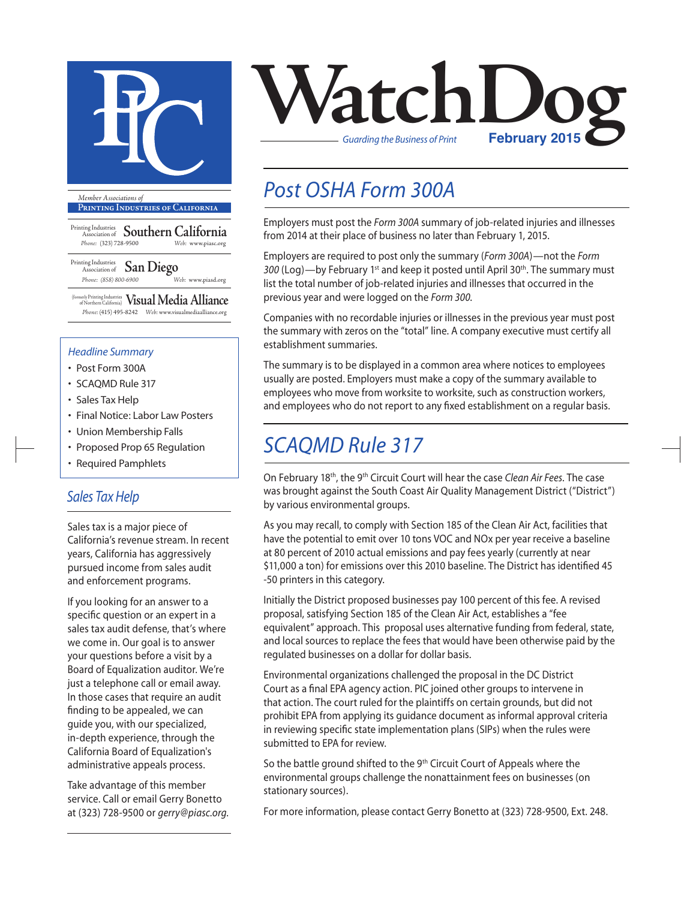

**Printing Industries of California**

Printing Industries Association of **Southern California** *Phone:* (323) 728-9500 *Web:* www.piasc.org

Printing Industries Association of **San Diego** *Phone: (858) 800-6900 Web:* www.piasd.org

(formerly Printing Industries of Northern California) **Visual Media Alliance** *Phone:* (415) 495-8242 *Web:* www.visualmediaalliance.org

#### *Headline Summary*

- Post Form 300A
- SCAQMD Rule 317
- Sales Tax Help
- Final Notice: Labor Law Posters
- Union Membership Falls
- Proposed Prop 65 Regulation
- Required Pamphlets

### *Sales Tax Help*

Sales tax is a major piece of California's revenue stream. In recent years, California has aggressively pursued income from sales audit and enforcement programs.

If you looking for an answer to a specific question or an expert in a sales tax audit defense, that's where we come in. Our goal is to answer your questions before a visit by a Board of Equalization auditor. We're just a telephone call or email away. In those cases that require an audit finding to be appealed, we can guide you, with our specialized, in-depth experience, through the California Board of Equalization's administrative appeals process.

Take advantage of this member service. Call or email Gerry Bonetto at (323) 728-9500 or *gerry@piasc.org.*



# *Post OSHA Form 300A*

Employers must post the *Form 300A* summary of job-related injuries and illnesses from 2014 at their place of business no later than February 1, 2015.

Employers are required to post only the summary (*Form 300A*)—not the *Form*  300 (Log)—by February 1<sup>st</sup> and keep it posted until April 30<sup>th</sup>. The summary must list the total number of job-related injuries and illnesses that occurred in the previous year and were logged on the *Form 300*.

Companies with no recordable injuries or illnesses in the previous year must post the summary with zeros on the "total" line. A company executive must certify all establishment summaries.

The summary is to be displayed in a common area where notices to employees usually are posted. Employers must make a copy of the summary available to employees who move from worksite to worksite, such as construction workers, and employees who do not report to any fixed establishment on a regular basis.

### *SCAQMD Rule 317*

On February 18th, the 9th Circuit Court will hear the case *Clean Air Fees*. The case was brought against the South Coast Air Quality Management District ("District") by various environmental groups.

As you may recall, to comply with Section 185 of the Clean Air Act, facilities that have the potential to emit over 10 tons VOC and NOx per year receive a baseline at 80 percent of 2010 actual emissions and pay fees yearly (currently at near \$11,000 a ton) for emissions over this 2010 baseline. The District has identified 45 -50 printers in this category.

Initially the District proposed businesses pay 100 percent of this fee. A revised proposal, satisfying Section 185 of the Clean Air Act, establishes a "fee equivalent" approach. This proposal uses alternative funding from federal, state, and local sources to replace the fees that would have been otherwise paid by the regulated businesses on a dollar for dollar basis.

Environmental organizations challenged the proposal in the DC District Court as a final EPA agency action. PIC joined other groups to intervene in that action. The court ruled for the plaintiffs on certain grounds, but did not prohibit EPA from applying its guidance document as informal approval criteria in reviewing specific state implementation plans (SIPs) when the rules were submitted to EPA for review.

So the battle ground shifted to the 9<sup>th</sup> Circuit Court of Appeals where the environmental groups challenge the nonattainment fees on businesses (on stationary sources).

For more information, please contact Gerry Bonetto at (323) 728-9500, Ext. 248.